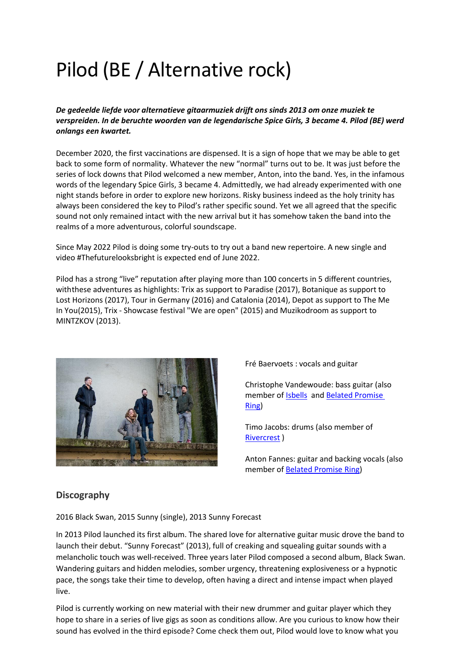# Pilod (BE / Alternative rock)

*De gedeelde liefde voor alternatieve gitaarmuziek drijft ons sinds 2013 om onze muziek te verspreiden. In de beruchte woorden van de legendarische Spice Girls, 3 became 4. Pilod (BE) werd onlangs een kwartet.*

December 2020, the first vaccinations are dispensed. It is a sign of hope that we may be able to get back to some form of normality. Whatever the new "normal" turns out to be. It was just before the series of lock downs that Pilod welcomed a new member, Anton, into the band. Yes, in the infamous words of the legendary Spice Girls, 3 became 4. Admittedly, we had already experimented with one night stands before in order to explore new horizons. Risky business indeed as the holy trinity has always been considered the key to Pilod's rather specific sound. Yet we all agreed that the specific sound not only remained intact with the new arrival but it has somehow taken the band into the realms of a more adventurous, colorful soundscape.

Since May 2022 Pilod is doing some try-outs to try out a band new repertoire. A new single and video #Thefuturelooksbright is expected end of June 2022.

Pilod has a strong "live" reputation after playing more than 100 concerts in 5 different countries, with these adventures as highlights: Trix as support to Paradise (2017), Botanique as support to Lost Horizons (2017), Tour in Germany (2016) and Catalonia (2014), Depot as support to The Me In You(2015), Trix - Showcase festival "We are open" (2015) and Muzikodroom as support to MINTZKOV (2013).



Fré Baervoets : vocals and guitar

Christophe Vandewoude: bass guitar (also member of **Isbells** and **Belated Promise** [Ring\)](https://www.facebook.com/belatedpromisering)

Timo Jacobs: drums (also member of [Rivercrest](https://www.facebook.com/Rivercrest-119044651458143) )

Anton Fannes: guitar and backing vocals (also member of [Belated Promise](https://www.facebook.com/belatedpromisering) Ring)

### **Discography**

2016 Black [Swan,](https://pilod.bandcamp.com/album/black-swan) 2015 Sunny [\(single\),](https://pilod.bandcamp.com/track/sunny) 2013 Sunny [Forecast](https://pilod.bandcamp.com/album/sunny-forecast)

In 2013 Pilod launched its first album. The shared love for alternative guitar music drove the band to launch their debut. "Sunny Forecast" (2013), full of creaking and squealing guitar sounds with a melancholic touch was well-received. Three years later Pilod composed a second album, Black Swan. Wandering guitars and hidden melodies, somber urgency, threatening explosiveness or a hypnotic pace, the songs take their time to develop, often having a direct and intense impact when played live.

Pilod is currently working on new material with their new drummer and guitar player which they hope to share in a series of live gigs as soon as conditions allow. Are you curious to know how their sound has evolved in the third episode? Come check them out, Pilod would love to know what you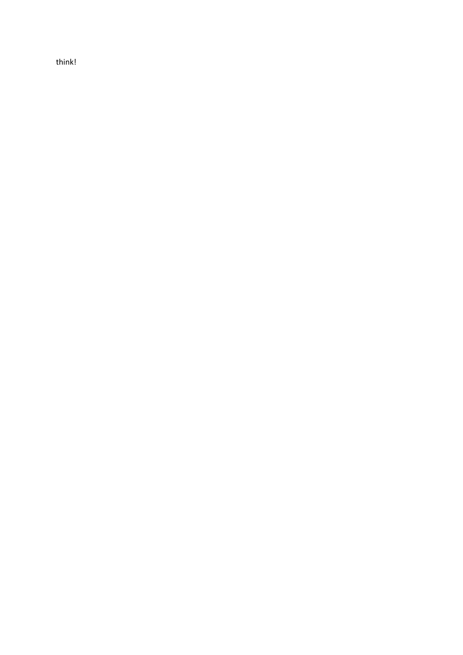think!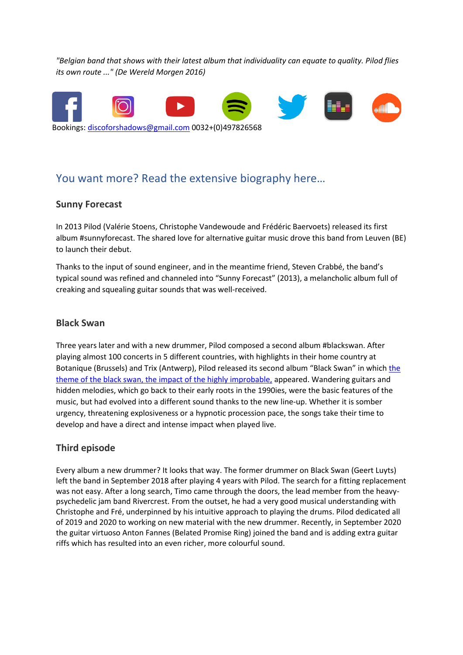*"Belgian band that shows with their latest album that individuality can equate to quality. Pilod flies its own route ..." (De Wereld Morgen 2016)*



# You want more? Read the extensive biography here…

#### **Sunny Forecast**

In 2013 Pilod (Valérie Stoens, Christophe Vandewoude and Frédéric Baervoets) released its first album #sunnyforecast. The shared love for alternative guitar music drove this band from Leuven (BE) to launch their debut.

Thanks to the input of sound engineer, and in the meantime friend, Steven Crabbé, the band's typical sound was refined and channeled into "Sunny Forecast" (2013), a melancholic album full of creaking and squealing guitar sounds that was well-received.

#### **Black Swan**

Three years later and with a new drummer, Pilod composed a second album #blackswan. After playing almost 100 concerts in 5 different countries, with highlights in their home country at Botanique (Brussels) and Trix (Antwerp), Pilod released its second album "Black Swan" in which the theme of the black swan, the impact of the highly improbable, appeared. Wandering guitars and hidden melodies, which go back to their early roots in the 1990ies, were the basic features of the music, but had evolved into a different sound thanks to the new line-up. Whether it is somber urgency, threatening explosiveness or a hypnotic procession pace, the songs take their time to develop and have a direct and intense impact when played live.

#### **Third episode**

Every album a new drummer? It looks that way. The former drummer on Black Swan (Geert Luyts) left the band in September 2018 after playing 4 years with Pilod. The search for a fitting replacement was not easy. After a long search, Timo came through the doors, the lead member from the heavypsychedelic jam band Rivercrest. From the outset, he had a very good musical understanding with Christophe and Fré, underpinned by his intuitive approach to playing the drums. Pilod dedicated all of 2019 and 2020 to working on new material with the new drummer. Recently, in September 2020 the guitar virtuoso Anton Fannes (Belated Promise Ring) joined the band and is adding extra guitar riffs which has resulted into an even richer, more colourful sound.